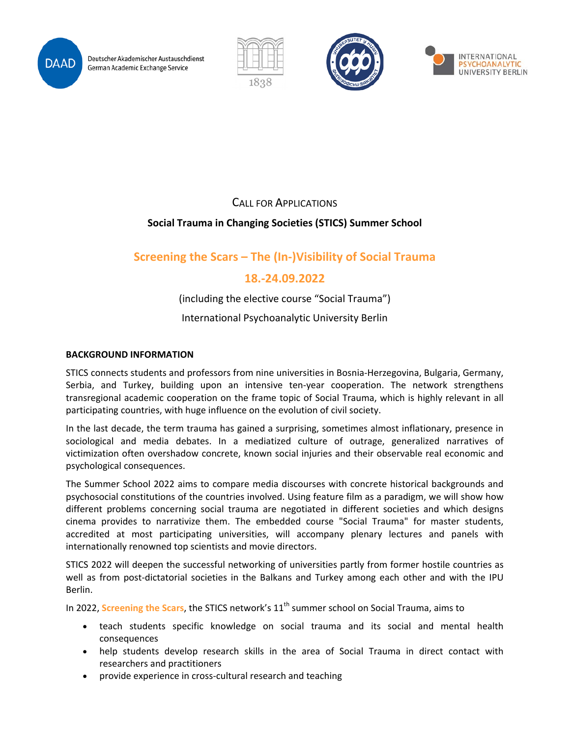

Deutscher Akademischer Austauschdienst German Academic Exchange Service







CALL FOR APPLICATIONS

## **Social Trauma in Changing Societies (STICS) Summer School**

# **Screening the Scars – The (In-)Visibility of Social Trauma**

# **18.-24.09.2022**

(including the elective course "Social Trauma")

International Psychoanalytic University Berlin

### **BACKGROUND INFORMATION**

STICS connects students and professors from nine universities in Bosnia-Herzegovina, Bulgaria, Germany, Serbia, and Turkey, building upon an intensive ten-year cooperation. The network strengthens transregional academic cooperation on the frame topic of Social Trauma, which is highly relevant in all participating countries, with huge influence on the evolution of civil society.

In the last decade, the term trauma has gained a surprising, sometimes almost inflationary, presence in sociological and media debates. In a mediatized culture of outrage, generalized narratives of victimization often overshadow concrete, known social injuries and their observable real economic and psychological consequences.

The Summer School 2022 aims to compare media discourses with concrete historical backgrounds and psychosocial constitutions of the countries involved. Using feature film as a paradigm, we will show how different problems concerning social trauma are negotiated in different societies and which designs cinema provides to narrativize them. The embedded course "Social Trauma" for master students, accredited at most participating universities, will accompany plenary lectures and panels with internationally renowned top scientists and movie directors.

STICS 2022 will deepen the successful networking of universities partly from former hostile countries as well as from post-dictatorial societies in the Balkans and Turkey among each other and with the IPU Berlin.

In 2022, Screening the Scars, the STICS network's 11<sup>th</sup> summer school on Social Trauma, aims to

- teach students specific knowledge on social trauma and its social and mental health consequences
- help students develop research skills in the area of Social Trauma in direct contact with researchers and practitioners
- provide experience in cross-cultural research and teaching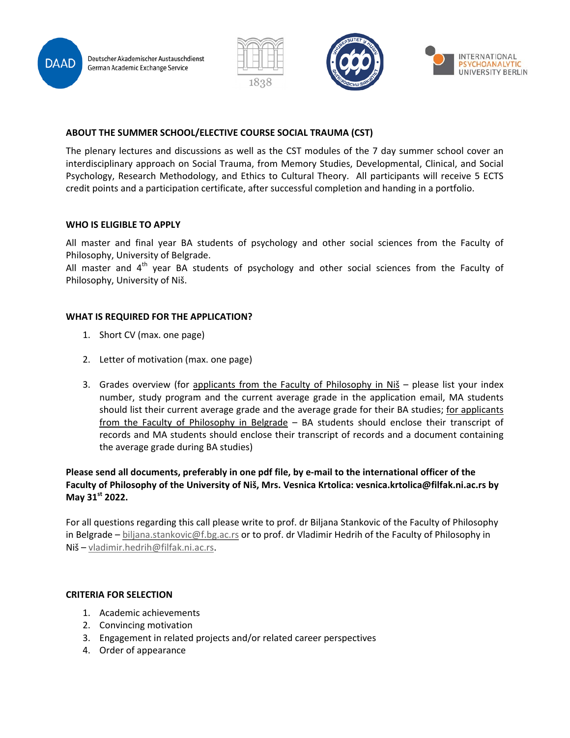Deutscher Akademischer Austauschdienst German Academic Exchange Service







### **ABOUT THE SUMMER SCHOOL/ELECTIVE COURSE SOCIAL TRAUMA (CST)**

The plenary lectures and discussions as well as the CST modules of the 7 day summer school cover an interdisciplinary approach on Social Trauma, from Memory Studies, Developmental, Clinical, and Social Psychology, Research Methodology, and Ethics to Cultural Theory. All participants will receive 5 ECTS credit points and a participation certificate, after successful completion and handing in a portfolio.

#### **WHO IS ELIGIBLE TO APPLY**

I

All master and final year BA students of psychology and other social sciences from the Faculty of Philosophy, University of Belgrade.

All master and  $4<sup>th</sup>$  year BA students of psychology and other social sciences from the Faculty of Philosophy, University of Niš.

#### **WHAT IS REQUIRED FOR THE APPLICATION?**

- 1. Short CV (max. one page)
- 2. Letter of motivation (max. one page)
- 3. Grades overview (for applicants from the Faculty of Philosophy in Niš please list your index number, study program and the current average grade in the application email, MA students should list their current average grade and the average grade for their BA studies; for applicants from the Faculty of Philosophy in Belgrade – BA students should enclose their transcript of records and MA students should enclose their transcript of records and a document containing the average grade during BA studies)

### **Please send all documents, preferably in one pdf file, by e-mail to the international officer of the Faculty of Philosophy of the University of Niš, Mrs. Vesnica Krtolica: vesnica.krtolica@filfak.ni.ac.rs by May 31st 2022.**

For all questions regarding this call please write to prof. dr Biljana Stankovic of the Faculty of Philosophy in Belgrade – [biljana.stankovic@f.bg.ac.rs](mailto:biljana.stankovic@f.bg.ac.rs) or to prof. dr Vladimir Hedrih of the Faculty of Philosophy in Niš – [vladimir.hedrih@filfak.ni.ac.rs.](mailto:vladimir.hedrih@filfak.ni.ac.rs)

#### **CRITERIA FOR SELECTION**

- 1. Academic achievements
- 2. Convincing motivation
- 3. Engagement in related projects and/or related career perspectives
- 4. Order of appearance